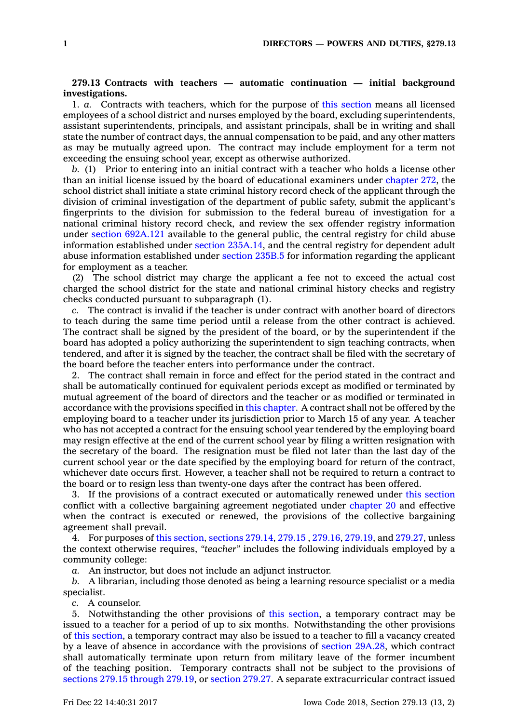## **279.13 Contracts with teachers — automatic continuation — initial background investigations.**

1. *a.* Contracts with teachers, which for the purpose of this [section](https://www.legis.iowa.gov/docs/code/279.13.pdf) means all licensed employees of <sup>a</sup> school district and nurses employed by the board, excluding superintendents, assistant superintendents, principals, and assistant principals, shall be in writing and shall state the number of contract days, the annual compensation to be paid, and any other matters as may be mutually agreed upon. The contract may include employment for <sup>a</sup> term not exceeding the ensuing school year, except as otherwise authorized.

*b.* (1) Prior to entering into an initial contract with <sup>a</sup> teacher who holds <sup>a</sup> license other than an initial license issued by the board of educational examiners under [chapter](https://www.legis.iowa.gov/docs/code//272.pdf) 272, the school district shall initiate <sup>a</sup> state criminal history record check of the applicant through the division of criminal investigation of the department of public safety, submit the applicant's fingerprints to the division for submission to the federal bureau of investigation for <sup>a</sup> national criminal history record check, and review the sex offender registry information under section [692A.121](https://www.legis.iowa.gov/docs/code/692A.121.pdf) available to the general public, the central registry for child abuse information established under section [235A.14](https://www.legis.iowa.gov/docs/code/235A.14.pdf), and the central registry for dependent adult abuse information established under [section](https://www.legis.iowa.gov/docs/code/235B.5.pdf) 235B.5 for information regarding the applicant for employment as <sup>a</sup> teacher.

(2) The school district may charge the applicant <sup>a</sup> fee not to exceed the actual cost charged the school district for the state and national criminal history checks and registry checks conducted pursuant to subparagraph (1).

*c.* The contract is invalid if the teacher is under contract with another board of directors to teach during the same time period until <sup>a</sup> release from the other contract is achieved. The contract shall be signed by the president of the board, or by the superintendent if the board has adopted <sup>a</sup> policy authorizing the superintendent to sign teaching contracts, when tendered, and after it is signed by the teacher, the contract shall be filed with the secretary of the board before the teacher enters into performance under the contract.

2. The contract shall remain in force and effect for the period stated in the contract and shall be automatically continued for equivalent periods except as modified or terminated by mutual agreement of the board of directors and the teacher or as modified or terminated in accordance with the provisions specified in this [chapter](https://www.legis.iowa.gov/docs/code//279.pdf). A contract shall not be offered by the employing board to <sup>a</sup> teacher under its jurisdiction prior to March 15 of any year. A teacher who has not accepted <sup>a</sup> contract for the ensuing school year tendered by the employing board may resign effective at the end of the current school year by filing <sup>a</sup> written resignation with the secretary of the board. The resignation must be filed not later than the last day of the current school year or the date specified by the employing board for return of the contract, whichever date occurs first. However, <sup>a</sup> teacher shall not be required to return <sup>a</sup> contract to the board or to resign less than twenty-one days after the contract has been offered.

3. If the provisions of <sup>a</sup> contract executed or automatically renewed under this [section](https://www.legis.iowa.gov/docs/code/279.13.pdf) conflict with <sup>a</sup> collective bargaining agreement negotiated under [chapter](https://www.legis.iowa.gov/docs/code//20.pdf) 20 and effective when the contract is executed or renewed, the provisions of the collective bargaining agreement shall prevail.

4. For purposes of this [section](https://www.legis.iowa.gov/docs/code/279.13.pdf), [sections](https://www.legis.iowa.gov/docs/code/279.14.pdf) 279.14, [279.15](https://www.legis.iowa.gov/docs/code/279.15.pdf) , [279.16](https://www.legis.iowa.gov/docs/code/279.16.pdf), [279.19](https://www.legis.iowa.gov/docs/code/279.19.pdf), and [279.27](https://www.legis.iowa.gov/docs/code/279.27.pdf), unless the context otherwise requires, *"teacher"* includes the following individuals employed by <sup>a</sup> community college:

*a.* An instructor, but does not include an adjunct instructor.

*b.* A librarian, including those denoted as being <sup>a</sup> learning resource specialist or <sup>a</sup> media specialist.

*c.* A counselor.

5. Notwithstanding the other provisions of this [section](https://www.legis.iowa.gov/docs/code/279.13.pdf), <sup>a</sup> temporary contract may be issued to <sup>a</sup> teacher for <sup>a</sup> period of up to six months. Notwithstanding the other provisions of this [section](https://www.legis.iowa.gov/docs/code/279.13.pdf), <sup>a</sup> temporary contract may also be issued to <sup>a</sup> teacher to fill <sup>a</sup> vacancy created by <sup>a</sup> leave of absence in accordance with the provisions of section [29A.28](https://www.legis.iowa.gov/docs/code/29A.28.pdf), which contract shall automatically terminate upon return from military leave of the former incumbent of the teaching position. Temporary contracts shall not be subject to the provisions of sections 279.15 [through](https://www.legis.iowa.gov/docs/code/279.15.pdf) 279.19, or [section](https://www.legis.iowa.gov/docs/code/279.27.pdf) 279.27. A separate extracurricular contract issued